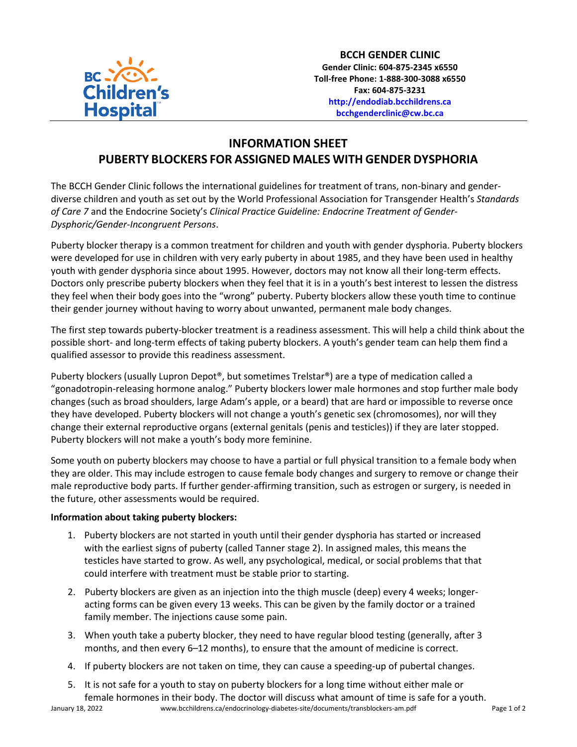

**BCCH GENDER CLINIC Gender Clinic: 604-875-2345 x6550 Toll-free Phone: 1-888-300-3088 x6550 Fax: 604-875-3231 [http://endodiab.bcchildrens.ca](http://endodiab.bcchildrens.ca/) bcchgenderclinic@cw.bc.ca**

## **INFORMATION SHEET PUBERTY BLOCKERS FOR ASSIGNED MALES WITH GENDER DYSPHORIA**

The BCCH Gender Clinic follows the international guidelines for treatment of trans, non-binary and genderdiverse children and youth as set out by the World Professional Association for Transgender Health's *Standards of Care 7* and the Endocrine Society's *Clinical Practice Guideline: Endocrine Treatment of Gender-Dysphoric/Gender-Incongruent Persons*.

Puberty blocker therapy is a common treatment for children and youth with gender dysphoria. Puberty blockers were developed for use in children with very early puberty in about 1985, and they have been used in healthy youth with gender dysphoria since about 1995. However, doctors may not know all their long-term effects. Doctors only prescribe puberty blockers when they feel that it is in a youth's best interest to lessen the distress they feel when their body goes into the "wrong" puberty. Puberty blockers allow these youth time to continue their gender journey without having to worry about unwanted, permanent male body changes.

The first step towards puberty-blocker treatment is a readiness assessment. This will help a child think about the possible short- and long-term effects of taking puberty blockers. A youth's gender team can help them find a qualified assessor to provide this readiness assessment.

Puberty blockers (usually Lupron Depot®, but sometimes Trelstar®) are a type of medication called a "gonadotropin-releasing hormone analog." Puberty blockers lower male hormones and stop further male body changes (such as broad shoulders, large Adam's apple, or a beard) that are hard or impossible to reverse once they have developed. Puberty blockers will not change a youth's genetic sex (chromosomes), nor will they change their external reproductive organs (external genitals (penis and testicles)) if they are later stopped. Puberty blockers will not make a youth's body more feminine.

Some youth on puberty blockers may choose to have a partial or full physical transition to a female body when they are older. This may include estrogen to cause female body changes and surgery to remove or change their male reproductive body parts. If further gender-affirming transition, such as estrogen or surgery, is needed in the future, other assessments would be required.

## **Information about taking puberty blockers:**

- 1. Puberty blockers are not started in youth until their gender dysphoria has started or increased with the earliest signs of puberty (called Tanner stage 2). In assigned males, this means the testicles have started to grow. As well, any psychological, medical, or social problems that that could interfere with treatment must be stable prior to starting.
- 2. Puberty blockers are given as an injection into the thigh muscle (deep) every 4 weeks; longeracting forms can be given every 13 weeks. This can be given by the family doctor or a trained family member. The injections cause some pain.
- 3. When youth take a puberty blocker, they need to have regular blood testing (generally, after 3 months, and then every 6–12 months), to ensure that the amount of medicine is correct.
- 4. If puberty blockers are not taken on time, they can cause a speeding-up of pubertal changes.
- January 18, 2022 www.bcchildrens.ca/endocrinology-diabetes-site/documents/transblockers-am.pdf Page 1 of 2 5. It is not safe for a youth to stay on puberty blockers for a long time without either male or female hormones in their body. The doctor will discuss what amount of time is safe for a youth.